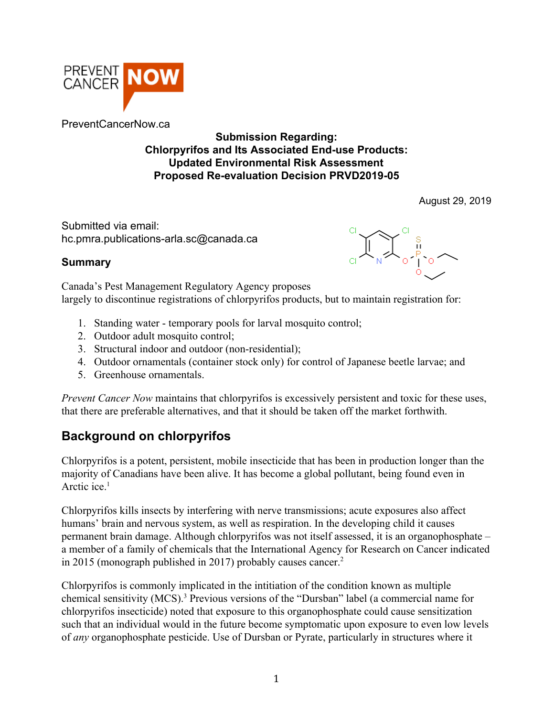

PreventCancerNow.ca

#### **Submission Regarding: Chlorpyrifos and Its Associated End-use Products: Updated Environmental Risk Assessment Proposed Re-evaluation Decision PRVD2019-05**

August 29, 2019

Submitted via email: hc.pmra.publications-arla.sc@canada.ca

# $\mathbb{L}_{\mathbb{R}}$ ,  $\mathbb{L}_{\mathbb{R}}$

#### **Summary**

Canada's Pest Management Regulatory Agency proposes largely to discontinue registrations of chlorpyrifos products, but to maintain registration for:

- 1. Standing water temporary pools for larval mosquito control;
- 2. Outdoor adult mosquito control;
- 3. Structural indoor and outdoor (non-residential);
- 4. Outdoor ornamentals (container stock only) for control of Japanese beetle larvae; and
- 5. Greenhouse ornamentals.

*Prevent Cancer Now* maintains that chlorpyrifos is excessively persistent and toxic for these uses, that there are preferable alternatives, and that it should be taken off the market forthwith.

## **Background on chlorpyrifos**

Chlorpyrifos is a potent, persistent, mobile insecticide that has been in production longer than the majority of Canadians have been alive. It has become a global pollutant, being found even in Arctic ice.<sup>1</sup>

Chlorpyrifos kills insects by interfering with nerve transmissions; acute exposures also affect humans' brain and nervous system, as well as respiration. In the developing child it causes permanent brain damage. Although chlorpyrifos was not itself assessed, it is an organophosphate – a member of a family of chemicals that the International Agency for Research on Cancer indicated in 2015 (monograph published in 2017) probably causes cancer.<sup>2</sup>

Chlorpyrifos is commonly implicated in the intitiation of the condition known as multiple chemical sensitivity (MCS).<sup>3</sup> Previous versions of the "Dursban" label (a commercial name for chlorpyrifos insecticide) noted that exposure to this organophosphate could cause sensitization such that an individual would in the future become symptomatic upon exposure to even low levels of *any* organophosphate pesticide. Use of Dursban or Pyrate, particularly in structures where it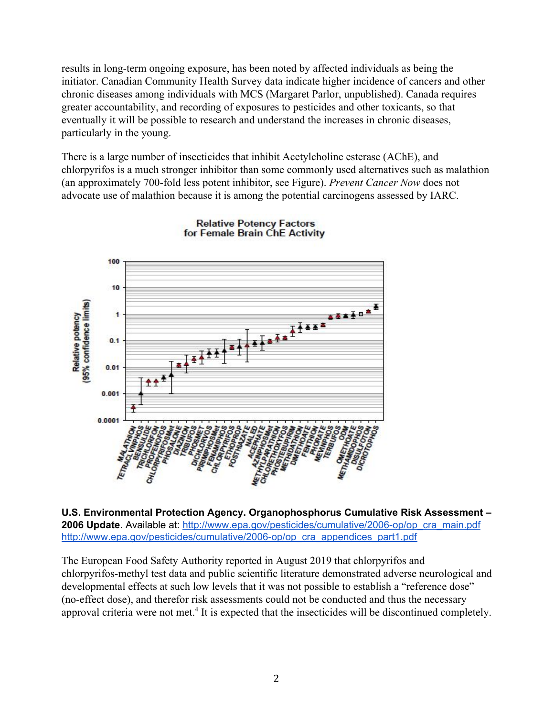results in long-term ongoing exposure, has been noted by affected individuals as being the initiator. Canadian Community Health Survey data indicate higher incidence of cancers and other chronic diseases among individuals with MCS (Margaret Parlor, unpublished). Canada requires greater accountability, and recording of exposures to pesticides and other toxicants, so that eventually it will be possible to research and understand the increases in chronic diseases, particularly in the young.

There is a large number of insecticides that inhibit Acetylcholine esterase (AChE), and chlorpyrifos is a much stronger inhibitor than some commonly used alternatives such as malathion (an approximately 700-fold less potent inhibitor, see Figure). *Prevent Cancer Now* does not advocate use of malathion because it is among the potential carcinogens assessed by IARC.



**Relative Potency Factors** for Female Brain ChE Activity

**U.S. Environmental Protection Agency. Organophosphorus Cumulative Risk Assessment – 2006 Update.** Available at: [http://www.epa.gov/pesticides/cumulative/2006-op/op\\_cra\\_main.pdf](http://www.epa.gov/pesticides/cumulative/2006-op/op_cra_main.pdf) [http://www.epa.gov/pesticides/cumulative/2006-op/op\\_cra\\_appendices\\_part1.pdf](http://www.epa.gov/pesticides/cumulative/2006-op/op_cra_appendices_part1.pdf)

The European Food Safety Authority reported in August 2019 that chlorpyrifos and chlorpyrifos-methyl test data and public scientific literature demonstrated adverse neurological and developmental effects at such low levels that it was not possible to establish a "reference dose" (no-effect dose), and therefor risk assessments could not be conducted and thus the necessary approval criteria were not met.<sup>4</sup> It is expected that the insecticides will be discontinued completely.